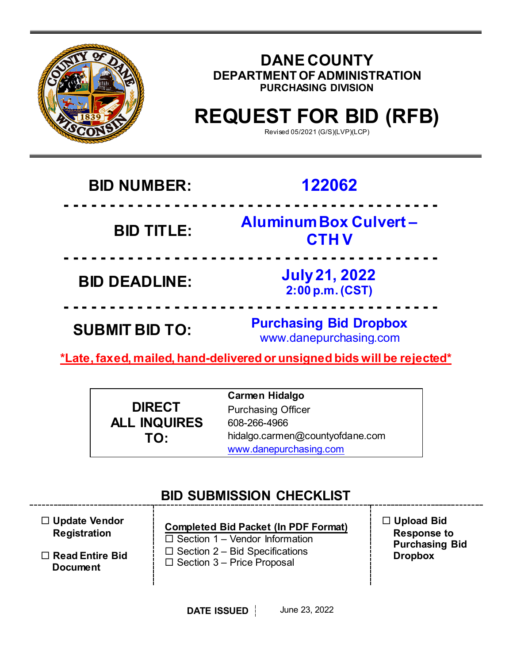

## **DANE COUNTY DEPARTMENT OF ADMINISTRATION PURCHASING DIVISION**

# **REQUEST FOR BID (RFB)**

Revised 05/2021 (G/S)(LVP)(LCP)

## **BID NUMBER: 122062**

**BID TITLE:** 

## **- - - - - - - - - - - - - - - - - - - - - - - - - - - - - - - - - - - - - - - - - Aluminum Box Culvert – CTH V**

**- - - - - - - - - - - - - - - - - - - - - - - - - - - - - - - - - - - - - - - - - BID DEADLINE: July <sup>21</sup>, 2022 2:00 p.m. (CST)**

**SUBMIT BID TO: Purchasing Bid Dropbox** www.danepurchasing.com

**\*Late, faxed, mailed, hand-delivered or unsigned bids will be rejected\***

**- - - - - - - - - - - - - - - - - - - - - - - - - - - - - - - - - - - - - - - - -**

|                     | <b>Carmen Hidalgo</b>           |
|---------------------|---------------------------------|
| <b>DIRECT</b>       | <b>Purchasing Officer</b>       |
| <b>ALL INQUIRES</b> | 608-266-4966                    |
| TO:                 | hidalgo.carmen@countyofdane.com |
|                     | www.danepurchasing.com          |

## **BID SUBMISSION CHECKLIST**

| $\Box$ Update Vendor<br><b>Registration</b> | <b>Completed Bid Packet (In PDF Format)</b><br>$\Box$ Section 1 – Vendor Information | $\Box$ Upload Bid<br><b>Response to</b><br><b>Purchasing Bid</b> |
|---------------------------------------------|--------------------------------------------------------------------------------------|------------------------------------------------------------------|
| $\Box$ Read Entire Bid<br><b>Document</b>   | $\Box$ Section 2 – Bid Specifications<br>$\Box$ Section 3 – Price Proposal           | <b>Dropbox</b>                                                   |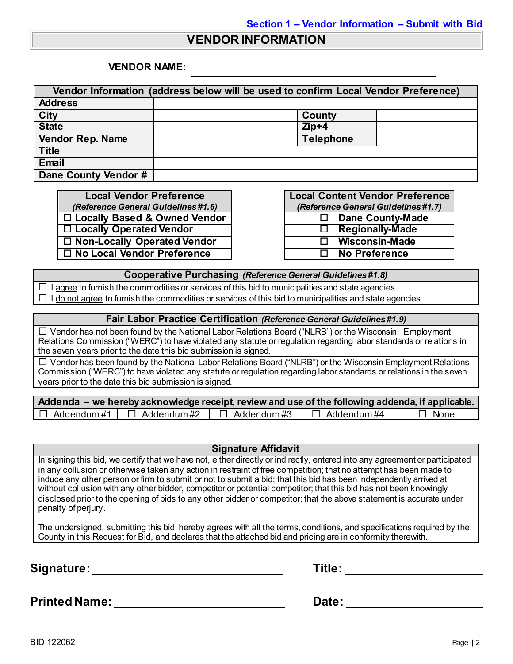#### **VENDOR INFORMATION**

#### **VENDOR NAME:**

| Vendor Information (address below will be used to confirm Local Vendor Preference) |                     |  |  |
|------------------------------------------------------------------------------------|---------------------|--|--|
| <b>Address</b>                                                                     |                     |  |  |
| <b>City</b>                                                                        | County              |  |  |
| <b>State</b>                                                                       | $\overline{Z}$ ip+4 |  |  |
| <b>Vendor Rep. Name</b>                                                            | <b>Telephone</b>    |  |  |
| <b>Title</b>                                                                       |                     |  |  |
| Email                                                                              |                     |  |  |
| Dane County Vendor #                                                               |                     |  |  |

**Local Vendor Preference** *(Reference General Guidelines #1.6)* **□ Locally Based & Owned Vendor Locally Operated Vendor**  $\Box$  Non-Locally Operated Vendor **No Local Vendor Preference No Preference**

| <b>Local Content Vendor Preference</b> |                                     |  |  |  |  |
|----------------------------------------|-------------------------------------|--|--|--|--|
|                                        | (Reference General Guidelines #1.7) |  |  |  |  |
| $\Box$                                 | <b>Dane County-Made</b>             |  |  |  |  |
| П                                      | <b>Regionally-Made</b>              |  |  |  |  |
| П                                      | <b>Wisconsin-Made</b>               |  |  |  |  |
| П                                      | <b>No Preference</b>                |  |  |  |  |

**Cooperative Purchasing** *(Reference General Guidelines #1.8)*

 $\Box$  I agree to furnish the commodities or services of this bid to municipalities and state agencies.  $\Box$  I do not agree to furnish the commodities or services of this bid to municipalities and state agencies.

#### **Fair Labor Practice Certification** *(Reference General Guidelines #1.9)*

 $\Box$  Vendor has not been found by the National Labor Relations Board ("NLRB") or the Wisconsin Employment Relations Commission ("WERC") to have violated any statute or regulation regarding labor standards or relations in the seven years prior to the date this bid submission is signed.

 $\Box$  Vendor has been found by the National Labor Relations Board ("NLRB") or the Wisconsin Employment Relations Commission ("WERC") to have violated any statute or regulation regarding labor standards or relations in the seven years prior to the date this bid submission is signed.

| Addenda – we hereby acknowledge receipt, review and use of the following addenda, if applicable. |                                     |                                     |  |             |  |
|--------------------------------------------------------------------------------------------------|-------------------------------------|-------------------------------------|--|-------------|--|
|                                                                                                  | $\Box$ Addendum#1 $\Box$ Addendum#2 | $\Box$ Addendum#3 $\Box$ Addendum#4 |  | $\Box$ None |  |

#### **Signature Affidavit**

In signing this bid, we certify that we have not, either directly or indirectly, entered into any agreement or participated in any collusion or otherwise taken any action in restraint of free competition; that no attempt has been made to induce any other person or firm to submit or not to submit a bid; that this bid has been independently arrived at without collusion with any other bidder, competitor or potential competitor; that this bid has not been knowingly disclosed prior to the opening of bids to any other bidder or competitor; that the above statement is accurate under penalty of perjury.

The undersigned, submitting this bid, hereby agrees with all the terms, conditions, and specifications required by the County in this Request for Bid, and declares that the attached bid and pricing are in conformity therewith.

**Signature:** \_\_\_\_\_\_\_\_\_\_\_\_\_\_\_\_\_\_\_\_\_\_\_\_\_\_\_\_\_ **Title:** \_\_\_\_\_\_\_\_\_\_\_\_\_\_\_\_\_\_\_\_\_

| Title: |  |  |  |  |  |  |
|--------|--|--|--|--|--|--|
|        |  |  |  |  |  |  |

**Printed Name:** \_\_\_\_\_\_\_\_\_\_\_\_\_\_\_\_\_\_\_\_\_\_\_\_\_\_ **Date:** \_\_\_\_\_\_\_\_\_\_\_\_\_\_\_\_\_\_\_\_\_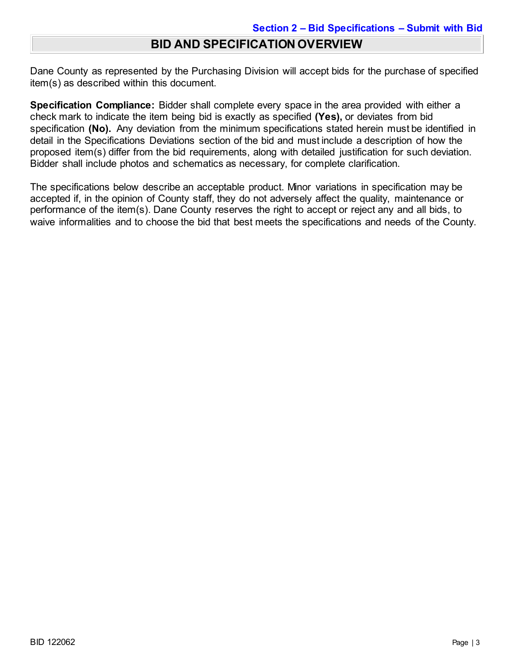## **BID AND SPECIFICATION OVERVIEW**

Dane County as represented by the Purchasing Division will accept bids for the purchase of specified item(s) as described within this document.

**Specification Compliance:** Bidder shall complete every space in the area provided with either a check mark to indicate the item being bid is exactly as specified **(Yes),** or deviates from bid specification **(No).** Any deviation from the minimum specifications stated herein must be identified in detail in the Specifications Deviations section of the bid and must include a description of how the proposed item(s) differ from the bid requirements, along with detailed justification for such deviation. Bidder shall include photos and schematics as necessary, for complete clarification.

The specifications below describe an acceptable product. Minor variations in specification may be accepted if, in the opinion of County staff, they do not adversely affect the quality, maintenance or performance of the item(s). Dane County reserves the right to accept or reject any and all bids, to waive informalities and to choose the bid that best meets the specifications and needs of the County.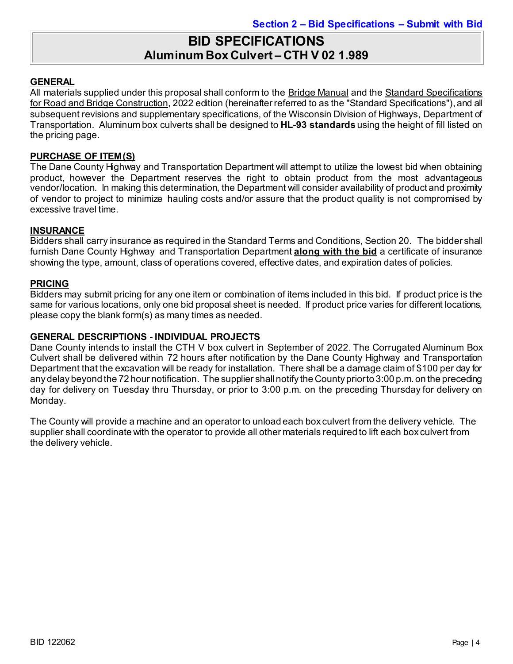## **BID SPECIFICATIONS Aluminum Box Culvert – CTH V 02 1.989**

#### **GENERAL**

All materials supplied under this proposal shall conform to the Bridge Manual and the Standard Specifications for Road and Bridge Construction, 2022 edition (hereinafter referred to as the "Standard Specifications"), and all subsequent revisions and supplementary specifications, of the Wisconsin Division of Highways, Department of Transportation. Aluminum box culverts shall be designed to **HL-93 standards** using the height of fill listed on the pricing page.

#### **PURCHASE OF ITEM(S)**

The Dane County Highway and Transportation Department will attempt to utilize the lowest bid when obtaining product, however the Department reserves the right to obtain product from the most advantageous vendor/location. In making this determination, the Department will consider availability of product and proximity of vendor to project to minimize hauling costs and/or assure that the product quality is not compromised by excessive travel time.

#### **INSURANCE**

Bidders shall carry insurance as required in the Standard Terms and Conditions, Section 20. The bidder shall furnish Dane County Highway and Transportation Department **along with the bid** a certificate of insurance showing the type, amount, class of operations covered, effective dates, and expiration dates of policies.

#### **PRICING**

Bidders may submit pricing for any one item or combination of items included in this bid. If product price is the same for various locations, only one bid proposal sheet is needed. If product price varies for different locations, please copy the blank form(s) as many times as needed.

#### **GENERAL DESCRIPTIONS - INDIVIDUAL PROJECTS**

Dane County intends to install the CTH V box culvert in September of 2022. The Corrugated Aluminum Box Culvert shall be delivered within 72 hours after notification by the Dane County Highway and Transportation Department that the excavation will be ready for installation. There shall be a damage claim of \$100 per day for any delay beyond the 72 hour notification. The supplier shall notify the County prior to 3:00 p.m. on the preceding day for delivery on Tuesday thru Thursday, or prior to 3:00 p.m. on the preceding Thursday for delivery on Monday.

The County will provide a machine and an operator to unload each box culvert from the delivery vehicle. The supplier shall coordinate with the operator to provide all other materials required to lift each box culvert from the delivery vehicle.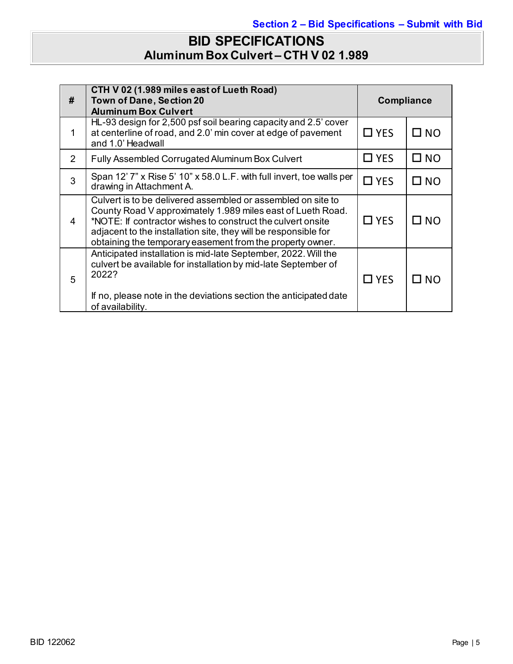## **BID SPECIFICATIONS Aluminum Box Culvert – CTH V 02 1.989**

| #              | CTH V 02 (1.989 miles east of Lueth Road)<br><b>Town of Dane, Section 20</b><br><b>Aluminum Box Culvert</b>                                                                                                                                                                                                                |               | <b>Compliance</b> |  |
|----------------|----------------------------------------------------------------------------------------------------------------------------------------------------------------------------------------------------------------------------------------------------------------------------------------------------------------------------|---------------|-------------------|--|
| 1              | HL-93 design for 2,500 psf soil bearing capacity and 2.5' cover<br>at centerline of road, and 2.0' min cover at edge of pavement<br>and 1.0' Headwall                                                                                                                                                                      | $\Box$ YES    | $\square$ NO      |  |
| $\overline{2}$ | Fully Assembled Corrugated Aluminum Box Culvert                                                                                                                                                                                                                                                                            | $\Box$ YES    | $\square$ NO      |  |
| 3              | Span 12' 7" x Rise 5' 10" x 58.0 L.F. with full invert, toe walls per<br>drawing in Attachment A.                                                                                                                                                                                                                          | $\Box$ YES    | $\square$ NO      |  |
| 4              | Culvert is to be delivered assembled or assembled on site to<br>County Road V approximately 1.989 miles east of Lueth Road.<br>*NOTE: If contractor wishes to construct the culvert onsite<br>adjacent to the installation site, they will be responsible for<br>obtaining the temporary easement from the property owner. | $\square$ YES | □ NO              |  |
| 5              | Anticipated installation is mid-late September, 2022. Will the<br>culvert be available for installation by mid-late September of<br>2022?<br>If no, please note in the deviations section the anticipated date<br>of availability.                                                                                         | $\Box$ YES    | $\square$ NO      |  |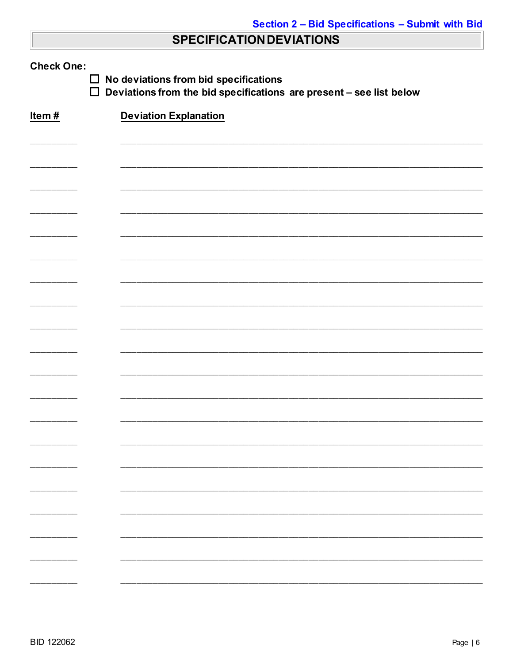## **SPECIFICATION DEVIATIONS**

| <b>Check One:</b><br>No deviations from bid specifications<br>$\Box$<br>$\Box$<br>Deviations from the bid specifications are present - see list below |                              |  |  |
|-------------------------------------------------------------------------------------------------------------------------------------------------------|------------------------------|--|--|
| Item#                                                                                                                                                 | <b>Deviation Explanation</b> |  |  |
|                                                                                                                                                       |                              |  |  |
|                                                                                                                                                       |                              |  |  |
|                                                                                                                                                       |                              |  |  |
|                                                                                                                                                       |                              |  |  |
|                                                                                                                                                       |                              |  |  |
|                                                                                                                                                       |                              |  |  |
|                                                                                                                                                       |                              |  |  |
|                                                                                                                                                       |                              |  |  |
|                                                                                                                                                       |                              |  |  |
|                                                                                                                                                       |                              |  |  |
|                                                                                                                                                       |                              |  |  |
|                                                                                                                                                       |                              |  |  |
|                                                                                                                                                       |                              |  |  |
|                                                                                                                                                       |                              |  |  |